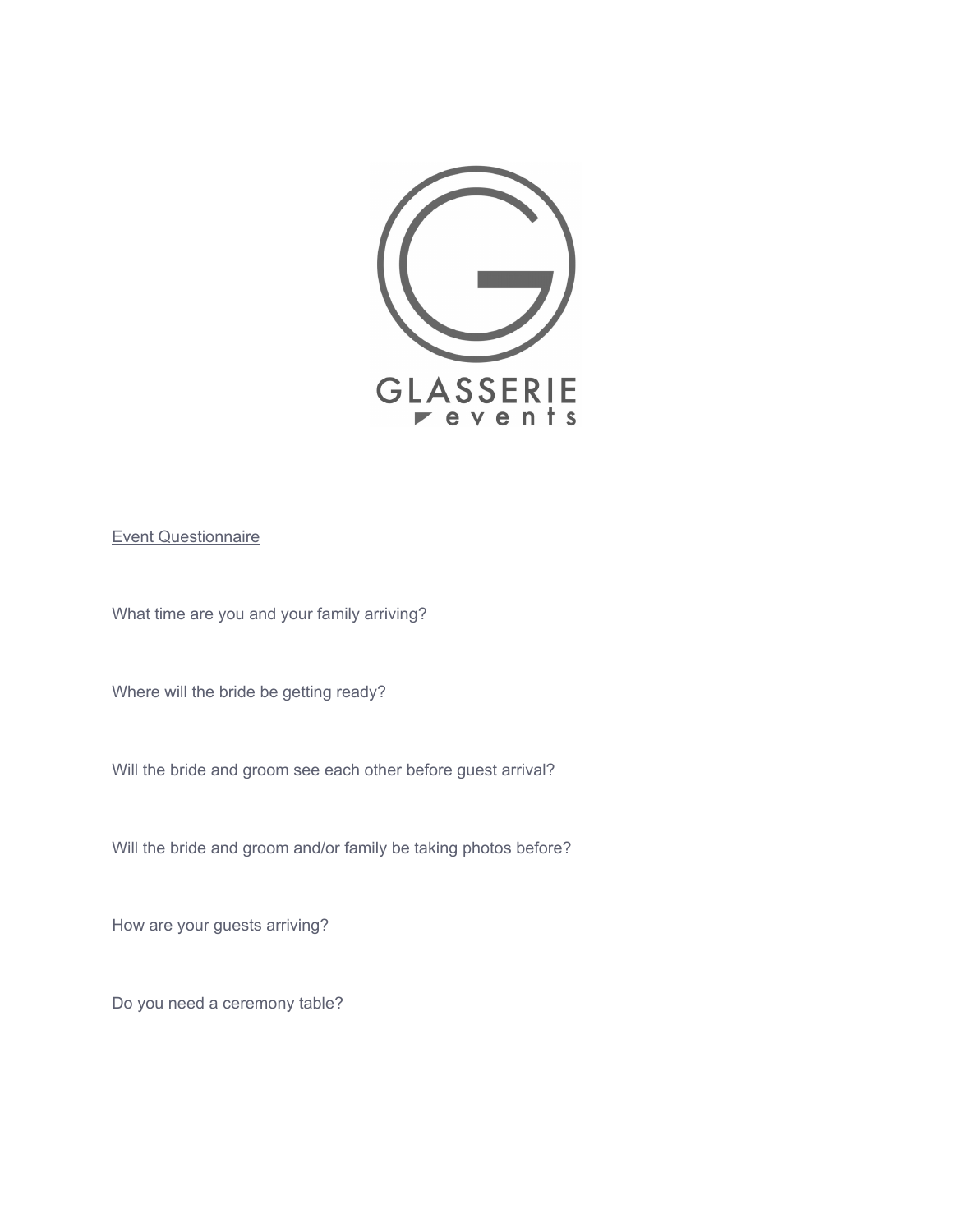

## Event Questionnaire

What time are you and your family arriving?

Where will the bride be getting ready?

Will the bride and groom see each other before guest arrival?

Will the bride and groom and/or family be taking photos before?

How are your guests arriving?

Do you need a ceremony table?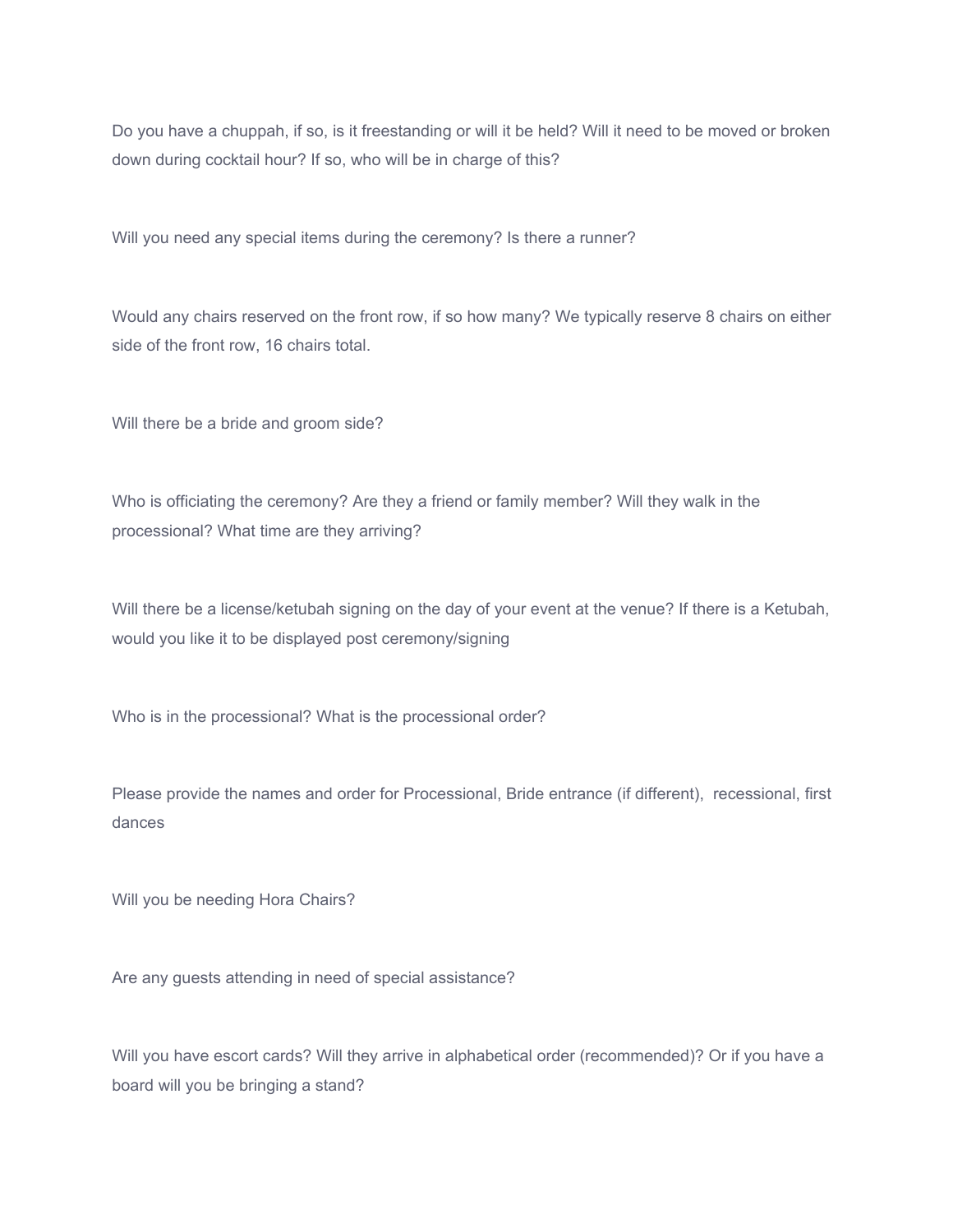Do you have a chuppah, if so, is it freestanding or will it be held? Will it need to be moved or broken down during cocktail hour? If so, who will be in charge of this?

Will you need any special items during the ceremony? Is there a runner?

Would any chairs reserved on the front row, if so how many? We typically reserve 8 chairs on either side of the front row, 16 chairs total.

Will there be a bride and groom side?

Who is officiating the ceremony? Are they a friend or family member? Will they walk in the processional? What time are they arriving?

Will there be a license/ketubah signing on the day of your event at the venue? If there is a Ketubah, would you like it to be displayed post ceremony/signing

Who is in the processional? What is the processional order?

Please provide the names and order for Processional, Bride entrance (if different), recessional, first dances

Will you be needing Hora Chairs?

Are any guests attending in need of special assistance?

Will you have escort cards? Will they arrive in alphabetical order (recommended)? Or if you have a board will you be bringing a stand?